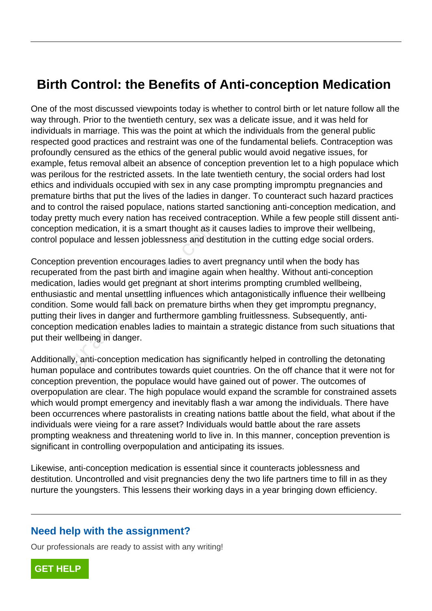## **Birth Control: the Benefits of Anti-conception Medication**

One of the most discussed viewpoints today is whether to control birth or let nature follow all the way through. Prior to the twentieth century, sex was a delicate issue, and it was held for individuals in marriage. This was the point at which the individuals from the general public respected good practices and restraint was one of the fundamental beliefs. Contraception was profoundly censured as the ethics of the general public would avoid negative issues, for example, fetus removal albeit an absence of conception prevention let to a high populace which was perilous for the restricted assets. In the late twentieth century, the social orders had lost ethics and individuals occupied with sex in any case prompting impromptu pregnancies and premature births that put the lives of the ladies in danger. To counteract such hazard practices and to control the raised populace, nations started sanctioning anti-conception medication, and today pretty much every nation has received contraception. While a few people still dissent anticonception medication, it is a smart thought as it causes ladies to improve their wellbeing, control populace and lessen joblessness and destitution in the cutting edge social orders.

Conception prevention encourages ladies to avert pregnancy until when the body has recuperated from the past birth and imagine again when healthy. Without anti-conception medication, ladies would get pregnant at short interims prompting crumbled wellbeing, enthusiastic and mental unsettling influences which antagonistically influence their wellbeing condition. Some would fall back on premature births when they get impromptu pregnancy, putting their lives in danger and furthermore gambling fruitlessness. Subsequently, anticonception medication enables ladies to maintain a strategic distance from such situations that put their wellbeing in danger. in medication, it is a smart thought as it<br>bulace and lessen joblessness and des<br>n prevention encourages ladies to aver<br>ed from the past birth and imagine agai<br>i, ladies would get pregnant at short int<br>ic and mental unsett

Additionally, anti-conception medication has significantly helped in controlling the detonating human populace and contributes towards quiet countries. On the off chance that it were not for conception prevention, the populace would have gained out of power. The outcomes of overpopulation are clear. The high populace would expand the scramble for constrained assets which would prompt emergency and inevitably flash a war among the individuals. There have been occurrences where pastoralists in creating nations battle about the field, what about if the individuals were vieing for a rare asset? Individuals would battle about the rare assets prompting weakness and threatening world to live in. In this manner, conception prevention is significant in controlling overpopulation and anticipating its issues.

Likewise, anti-conception medication is essential since it counteracts joblessness and destitution. Uncontrolled and visit pregnancies deny the two life partners time to fill in as they nurture the youngsters. This lessens their working days in a year bringing down efficiency.

## **Need help with the assignment?**

Our professionals are ready to assist with any writing!